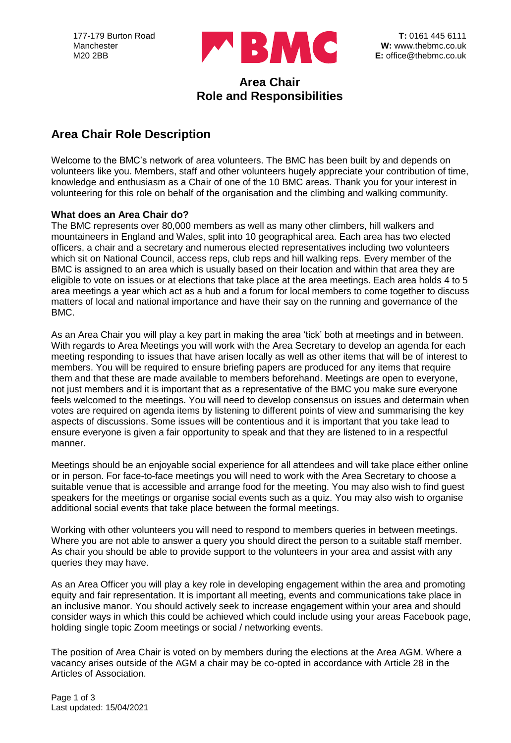

## **Area Chair Role and Responsibilities**

# **Area Chair Role Description**

Welcome to the BMC's network of area volunteers. The BMC has been built by and depends on volunteers like you. Members, staff and other volunteers hugely appreciate your contribution of time, knowledge and enthusiasm as a Chair of one of the 10 BMC areas. Thank you for your interest in volunteering for this role on behalf of the organisation and the climbing and walking community.

### **What does an Area Chair do?**

The BMC represents over 80,000 members as well as many other climbers, hill walkers and mountaineers in England and Wales, split into 10 geographical area. Each area has two elected officers, a chair and a secretary and numerous elected representatives including two volunteers which sit on National Council, access reps, club reps and hill walking reps. Every member of the BMC is assigned to an area which is usually based on their location and within that area they are eligible to vote on issues or at elections that take place at the area meetings. Each area holds 4 to 5 area meetings a year which act as a hub and a forum for local members to come together to discuss matters of local and national importance and have their say on the running and governance of the BMC.

As an Area Chair you will play a key part in making the area 'tick' both at meetings and in between. With regards to Area Meetings you will work with the Area Secretary to develop an agenda for each meeting responding to issues that have arisen locally as well as other items that will be of interest to members. You will be required to ensure briefing papers are produced for any items that require them and that these are made available to members beforehand. Meetings are open to everyone, not just members and it is important that as a representative of the BMC you make sure everyone feels welcomed to the meetings. You will need to develop consensus on issues and determain when votes are required on agenda items by listening to different points of view and summarising the key aspects of discussions. Some issues will be contentious and it is important that you take lead to ensure everyone is given a fair opportunity to speak and that they are listened to in a respectful manner.

Meetings should be an enjoyable social experience for all attendees and will take place either online or in person. For face-to-face meetings you will need to work with the Area Secretary to choose a suitable venue that is accessible and arrange food for the meeting. You may also wish to find guest speakers for the meetings or organise social events such as a quiz. You may also wish to organise additional social events that take place between the formal meetings.

Working with other volunteers you will need to respond to members queries in between meetings. Where you are not able to answer a query you should direct the person to a suitable staff member. As chair you should be able to provide support to the volunteers in your area and assist with any queries they may have.

As an Area Officer you will play a key role in developing engagement within the area and promoting equity and fair representation. It is important all meeting, events and communications take place in an inclusive manor. You should actively seek to increase engagement within your area and should consider ways in which this could be achieved which could include using your areas Facebook page, holding single topic Zoom meetings or social / networking events.

The position of Area Chair is voted on by members during the elections at the Area AGM. Where a vacancy arises outside of the AGM a chair may be co-opted in accordance with Article 28 in the Articles of Association.

Page 1 of 3 Last updated: 15/04/2021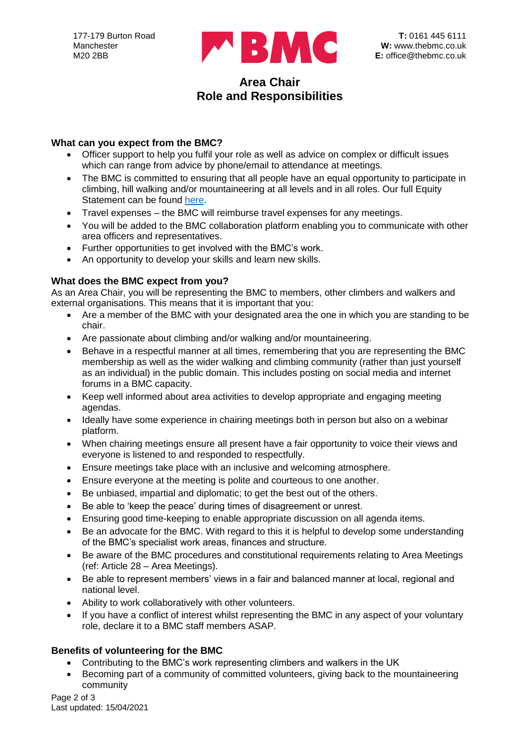

## **Area Chair Role and Responsibilities**

### **What can you expect from the BMC?**

- Officer support to help you fulfil your role as well as advice on complex or difficult issues which can range from advice by phone/email to attendance at meetings.
- The BMC is committed to ensuring that all people have an equal opportunity to participate in climbing, hill walking and/or mountaineering at all levels and in all roles. Our full Equity Statement can be found [here.](https://www.thebmc.co.uk/bmc-equity-statement)
- Travel expenses the BMC will reimburse travel expenses for any meetings.
- You will be added to the BMC collaboration platform enabling you to communicate with other area officers and representatives.
- Further opportunities to get involved with the BMC's work.
- An opportunity to develop your skills and learn new skills.

### **What does the BMC expect from you?**

As an Area Chair, you will be representing the BMC to members, other climbers and walkers and external organisations. This means that it is important that you:

- Are a member of the BMC with your designated area the one in which you are standing to be chair.
- Are passionate about climbing and/or walking and/or mountaineering.
- Behave in a respectful manner at all times, remembering that you are representing the BMC membership as well as the wider walking and climbing community (rather than just yourself as an individual) in the public domain. This includes posting on social media and internet forums in a BMC capacity.
- Keep well informed about area activities to develop appropriate and engaging meeting agendas.
- Ideally have some experience in chairing meetings both in person but also on a webinar platform.
- When chairing meetings ensure all present have a fair opportunity to voice their views and everyone is listened to and responded to respectfully.
- Ensure meetings take place with an inclusive and welcoming atmosphere.
- Ensure everyone at the meeting is polite and courteous to one another.
- Be unbiased, impartial and diplomatic; to get the best out of the others.
- Be able to 'keep the peace' during times of disagreement or unrest.
- Ensuring good time-keeping to enable appropriate discussion on all agenda items.
- Be an advocate for the BMC. With regard to this it is helpful to develop some understanding of the BMC's specialist work areas, finances and structure.
- Be aware of the BMC procedures and constitutional requirements relating to Area Meetings (ref: Article 28 – Area Meetings).
- Be able to represent members' views in a fair and balanced manner at local, regional and national level.
- Ability to work collaboratively with other volunteers.
- If you have a conflict of interest whilst representing the BMC in any aspect of your voluntary role, declare it to a BMC staff members ASAP.

## **Benefits of volunteering for the BMC**

- Contributing to the BMC's work representing climbers and walkers in the UK
- Becoming part of a community of committed volunteers, giving back to the mountaineering community